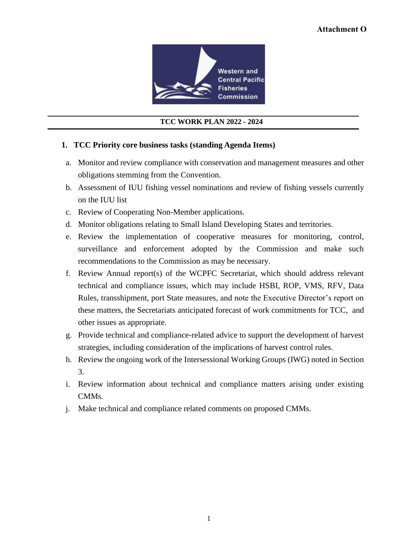

## **TCC WORK PLAN 2022 - 2024**

## **1. TCC Priority core business tasks (standing Agenda Items)**

- a. Monitor and review compliance with conservation and management measures and other obligations stemming from the Convention.
- b. Assessment of IUU fishing vessel nominations and review of fishing vessels currently on the IUU list
- c. Review of Cooperating Non-Member applications.
- d. Monitor obligations relating to Small Island Developing States and territories.
- e. Review the implementation of cooperative measures for monitoring, control, surveillance and enforcement adopted by the Commission and make such recommendations to the Commission as may be necessary.
- f. Review Annual report(s) of the WCPFC Secretariat, which should address relevant technical and compliance issues, which may include HSBI, ROP, VMS, RFV, Data Rules, transshipment, port State measures, and note the Executive Director's report on these matters, the Secretariats anticipated forecast of work commitments for TCC, and other issues as appropriate.
- g. Provide technical and compliance-related advice to support the development of harvest strategies, including consideration of the implications of harvest control rules.
- h. Review the ongoing work of the Intersessional Working Groups (IWG) noted in Section 3.
- i. Review information about technical and compliance matters arising under existing CMMs.
- j. Make technical and compliance related comments on proposed CMMs.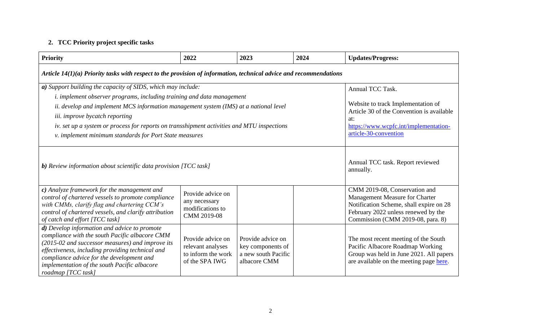## **2. TCC Priority project specific tasks**

| <b>Priority</b>                                                                                                                                                                                                                                                                                                                                                                                                                  | 2022                                                                                                                                                                                   | 2023                                                                          | 2024 | <b>Updates/Progress:</b>                                                                                                                                       |  |  |  |
|----------------------------------------------------------------------------------------------------------------------------------------------------------------------------------------------------------------------------------------------------------------------------------------------------------------------------------------------------------------------------------------------------------------------------------|----------------------------------------------------------------------------------------------------------------------------------------------------------------------------------------|-------------------------------------------------------------------------------|------|----------------------------------------------------------------------------------------------------------------------------------------------------------------|--|--|--|
| Article $14(1)(a)$ Priority tasks with respect to the provision of information, technical advice and recommendations                                                                                                                                                                                                                                                                                                             |                                                                                                                                                                                        |                                                                               |      |                                                                                                                                                                |  |  |  |
| a) Support building the capacity of SIDS, which may include:<br><i>i.</i> implement observer programs, including training and data management<br>ii. develop and implement MCS information management system (IMS) at a national level<br>iii. improve bycatch reporting<br>iv. set up a system or process for reports on transshipment activities and MTU inspections<br>v. implement minimum standards for Port State measures | Annual TCC Task.<br>Website to track Implementation of<br>Article 30 of the Convention is available<br>at:<br>https://www.wcpfc.int/implementation-<br>article-30-convention           |                                                                               |      |                                                                                                                                                                |  |  |  |
| <b>b</b> ) Review information about scientific data provision [TCC task]                                                                                                                                                                                                                                                                                                                                                         | Annual TCC task. Report reviewed<br>annually.                                                                                                                                          |                                                                               |      |                                                                                                                                                                |  |  |  |
| c) Analyze framework for the management and<br>control of chartered vessels to promote compliance<br>with CMMs, clarify flag and chartering CCM's<br>control of chartered vessels, and clarify attribution<br>of catch and effort [TCC task]                                                                                                                                                                                     | CMM 2019-08, Conservation and<br>Management Measure for Charter<br>Notification Scheme, shall expire on 28<br>February 2022 unless renewed by the<br>Commission (CMM 2019-08, para. 8) |                                                                               |      |                                                                                                                                                                |  |  |  |
| d) Develop information and advice to promote<br>compliance with the south Pacific albacore CMM<br>(2015-02 and successor measures) and improve its<br>effectiveness, including providing technical and<br>compliance advice for the development and<br>implementation of the south Pacific albacore<br>roadmap [TCC task]                                                                                                        | Provide advice on<br>relevant analyses<br>to inform the work<br>of the SPA IWG                                                                                                         | Provide advice on<br>key components of<br>a new south Pacific<br>albacore CMM |      | The most recent meeting of the South<br>Pacific Albacore Roadmap Working<br>Group was held in June 2021. All papers<br>are available on the meeting page here. |  |  |  |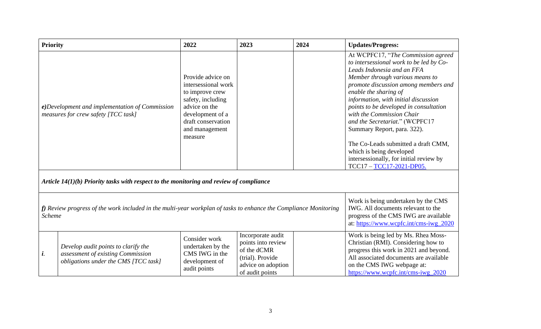| <b>Priority</b> |                                                                                                                     | 2022                                                                                                                                                                     | 2023                                                                                                                | 2024 | <b>Updates/Progress:</b>                                                                                                                                                                                                                                                                                                                                                                                                                                                                                                                |
|-----------------|---------------------------------------------------------------------------------------------------------------------|--------------------------------------------------------------------------------------------------------------------------------------------------------------------------|---------------------------------------------------------------------------------------------------------------------|------|-----------------------------------------------------------------------------------------------------------------------------------------------------------------------------------------------------------------------------------------------------------------------------------------------------------------------------------------------------------------------------------------------------------------------------------------------------------------------------------------------------------------------------------------|
|                 | e)Development and implementation of Commission<br>measures for crew safety [TCC task]                               | Provide advice on<br>intersessional work<br>to improve crew<br>safety, including<br>advice on the<br>development of a<br>draft conservation<br>and management<br>measure |                                                                                                                     |      | At WCPFC17, "The Commission agreed<br>to intersessional work to be led by Co-<br>Leads Indonesia and an FFA<br>Member through various means to<br>promote discussion among members and<br>enable the sharing of<br>information, with initial discussion<br>points to be developed in consultation<br>with the Commission Chair<br>and the Secretariat." (WCPFC17<br>Summary Report, para. 322).<br>The Co-Leads submitted a draft CMM,<br>which is being developed<br>intersessionally, for initial review by<br>TCC17-TCC17-2021-DP05. |
|                 | Article $14(1)(b)$ Priority tasks with respect to the monitoring and review of compliance                           |                                                                                                                                                                          |                                                                                                                     |      |                                                                                                                                                                                                                                                                                                                                                                                                                                                                                                                                         |
| <b>Scheme</b>   | $f$ ) Review progress of the work included in the multi-year workplan of tasks to enhance the Compliance Monitoring | Work is being undertaken by the CMS<br>IWG. All documents relevant to the<br>progress of the CMS IWG are available<br>at: https://www.wcpfc.int/cms-iwg_2020             |                                                                                                                     |      |                                                                                                                                                                                                                                                                                                                                                                                                                                                                                                                                         |
| i.              | Develop audit points to clarify the<br>assessment of existing Commission<br>obligations under the CMS [TCC task]    | Consider work<br>undertaken by the<br>CMS IWG in the<br>development of<br>audit points                                                                                   | Incorporate audit<br>points into review<br>of the dCMR<br>(trial). Provide<br>advice on adoption<br>of audit points |      | Work is being led by Ms. Rhea Moss-<br>Christian (RMI). Considering how to<br>progress this work in 2021 and beyond.<br>All associated documents are available<br>on the CMS IWG webpage at:<br>https://www.wcpfc.int/cms-iwg_2020                                                                                                                                                                                                                                                                                                      |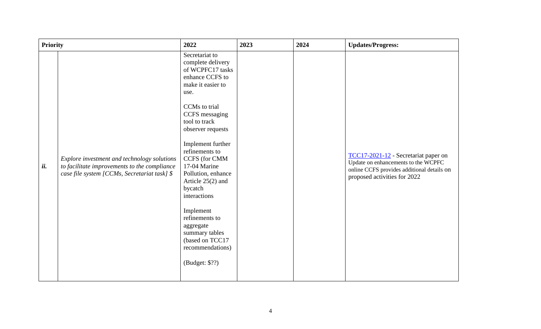| <b>Priority</b> |                                                                                                                                             | 2022                                                                                                                                                                                                                                                                                                                                                                                                                                                           | 2023 | 2024 | <b>Updates/Progress:</b>                                                                                                                                  |
|-----------------|---------------------------------------------------------------------------------------------------------------------------------------------|----------------------------------------------------------------------------------------------------------------------------------------------------------------------------------------------------------------------------------------------------------------------------------------------------------------------------------------------------------------------------------------------------------------------------------------------------------------|------|------|-----------------------------------------------------------------------------------------------------------------------------------------------------------|
| ii.             | Explore investment and technology solutions<br>to facilitate improvements to the compliance<br>case file system [CCMs, Secretariat task] \$ | Secretariat to<br>complete delivery<br>of WCPFC17 tasks<br>enhance CCFS to<br>make it easier to<br>use.<br>CCMs to trial<br>CCFS messaging<br>tool to track<br>observer requests<br>Implement further<br>refinements to<br><b>CCFS</b> (for CMM<br>17-04 Marine<br>Pollution, enhance<br>Article $25(2)$ and<br>bycatch<br>interactions<br>Implement<br>refinements to<br>aggregate<br>summary tables<br>(based on TCC17<br>recommendations)<br>(Budget: \$??) |      |      | TCC17-2021-12 - Secretariat paper on<br>Update on enhancements to the WCPFC<br>online CCFS provides additional details on<br>proposed activities for 2022 |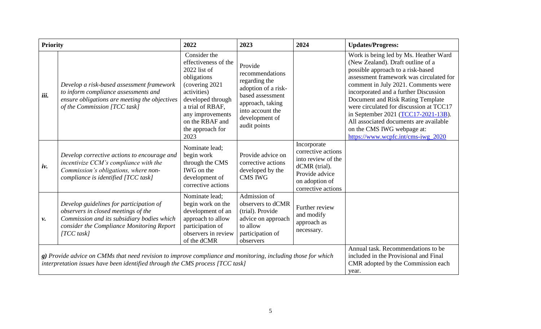| <b>Priority</b> |                                                                                                                                                                                               | 2022                                                                                                                                                                                                                | 2023                                                                                                                                                             | 2024                                                                                                                               | <b>Updates/Progress:</b>                                                                                                                                                                                                                                                                                                                                                                                                                                                        |
|-----------------|-----------------------------------------------------------------------------------------------------------------------------------------------------------------------------------------------|---------------------------------------------------------------------------------------------------------------------------------------------------------------------------------------------------------------------|------------------------------------------------------------------------------------------------------------------------------------------------------------------|------------------------------------------------------------------------------------------------------------------------------------|---------------------------------------------------------------------------------------------------------------------------------------------------------------------------------------------------------------------------------------------------------------------------------------------------------------------------------------------------------------------------------------------------------------------------------------------------------------------------------|
| iii.            | Develop a risk-based assessment framework<br>to inform compliance assessments and<br>ensure obligations are meeting the objectives<br>of the Commission [TCC task]                            | Consider the<br>effectiveness of the<br>$2022$ list of<br>obligations<br>(covering 2021)<br>activities)<br>developed through<br>a trial of RBAF,<br>any improvements<br>on the RBAF and<br>the approach for<br>2023 | Provide<br>recommendations<br>regarding the<br>adoption of a risk-<br>based assessment<br>approach, taking<br>into account the<br>development of<br>audit points |                                                                                                                                    | Work is being led by Ms. Heather Ward<br>(New Zealand). Draft outline of a<br>possible approach to a risk-based<br>assessment framework was circulated for<br>comment in July 2021. Comments were<br>incorporated and a further Discussion<br>Document and Risk Rating Template<br>were circulated for discussion at TCC17<br>in September 2021 (TCC17-2021-13B).<br>All associated documents are available<br>on the CMS IWG webpage at:<br>https://www.wcpfc.int/cms-iwg_2020 |
| iv.             | Develop corrective actions to encourage and<br>incentivize CCM's compliance with the<br>Commission's obligations, where non-<br>compliance is identified [TCC task]                           | Nominate lead;<br>begin work<br>through the CMS<br>IWG on the<br>development of<br>corrective actions                                                                                                               | Provide advice on<br>corrective actions<br>developed by the<br><b>CMS IWG</b>                                                                                    | Incorporate<br>corrective actions<br>into review of the<br>dCMR (trial).<br>Provide advice<br>on adoption of<br>corrective actions |                                                                                                                                                                                                                                                                                                                                                                                                                                                                                 |
| ν.              | Develop guidelines for participation of<br>observers in closed meetings of the<br>Commission and its subsidiary bodies which<br>consider the Compliance Monitoring Report<br>$[TCC$ task]     | Nominate lead;<br>begin work on the<br>development of an<br>approach to allow<br>participation of<br>observers in review<br>of the dCMR                                                                             | Admission of<br>observers to dCMR<br>(trial). Provide<br>advice on approach<br>to allow<br>participation of<br>observers                                         | Further review<br>and modify<br>approach as<br>necessary.                                                                          |                                                                                                                                                                                                                                                                                                                                                                                                                                                                                 |
|                 | g) Provide advice on CMMs that need revision to improve compliance and monitoring, including those for which<br>interpretation issues have been identified through the CMS process [TCC task] | Annual task. Recommendations to be<br>included in the Provisional and Final<br>CMR adopted by the Commission each<br>year.                                                                                          |                                                                                                                                                                  |                                                                                                                                    |                                                                                                                                                                                                                                                                                                                                                                                                                                                                                 |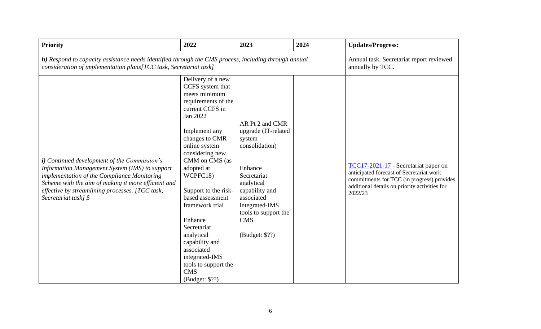| <b>Priority</b>                                                                                                                                                                                                                                                                         | 2022                                                                                                                                                                                                                                                                                                                                                                                                                                             | 2023                                                                                                                                                                                                                 | 2024 | <b>Updates/Progress:</b>                                                                                                                                                                   |
|-----------------------------------------------------------------------------------------------------------------------------------------------------------------------------------------------------------------------------------------------------------------------------------------|--------------------------------------------------------------------------------------------------------------------------------------------------------------------------------------------------------------------------------------------------------------------------------------------------------------------------------------------------------------------------------------------------------------------------------------------------|----------------------------------------------------------------------------------------------------------------------------------------------------------------------------------------------------------------------|------|--------------------------------------------------------------------------------------------------------------------------------------------------------------------------------------------|
| h) Respond to capacity assistance needs identified through the CMS process, including through annual<br>consideration of implementation plans [TCC task, Secretariat task]                                                                                                              | Annual task. Secretariat report reviewed<br>annually by TCC.                                                                                                                                                                                                                                                                                                                                                                                     |                                                                                                                                                                                                                      |      |                                                                                                                                                                                            |
| <i>i</i> ) Continued development of the Commission's<br>Information Management System (IMS) to support<br>implementation of the Compliance Monitoring<br>Scheme with the aim of making it more efficient and<br>effective by streamlining processes. [TCC task,<br>Secretariat task] \$ | Delivery of a new<br>CCFS system that<br>meets minimum<br>requirements of the<br>current CCFS in<br>Jan 2022<br>Implement any<br>changes to CMR<br>online system<br>considering new<br>CMM on CMS (as<br>adopted at<br>WCPFC18)<br>Support to the risk-<br>based assessment<br>framework trial<br>Enhance<br>Secretariat<br>analytical<br>capability and<br>associated<br>integrated-IMS<br>tools to support the<br><b>CMS</b><br>(Budget: \$??) | AR Pt 2 and CMR<br>upgrade (IT-related<br>system<br>consolidation)<br>Enhance<br>Secretariat<br>analytical<br>capability and<br>associated<br>integrated-IMS<br>tools to support the<br><b>CMS</b><br>(Budget: \$??) |      | TCC17-2021-17 - Secretariat paper on<br>anticipated forecast of Secretariat work<br>commitments for TCC (in progress) provides<br>additional details on priority activities for<br>2022/23 |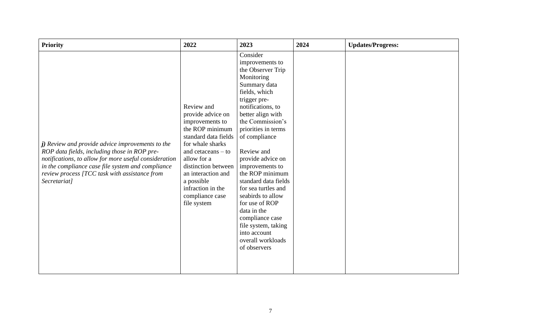| <b>Priority</b>                                                                                                                                                                                                                                                                 | 2022                                                                                                                                                                                                                                                                       | 2023                                                                                                                                                                                                                                                                                                                                                                                                                                                                                               | 2024 | <b>Updates/Progress:</b> |
|---------------------------------------------------------------------------------------------------------------------------------------------------------------------------------------------------------------------------------------------------------------------------------|----------------------------------------------------------------------------------------------------------------------------------------------------------------------------------------------------------------------------------------------------------------------------|----------------------------------------------------------------------------------------------------------------------------------------------------------------------------------------------------------------------------------------------------------------------------------------------------------------------------------------------------------------------------------------------------------------------------------------------------------------------------------------------------|------|--------------------------|
| j) Review and provide advice improvements to the<br>ROP data fields, including those in ROP pre-<br>notifications, to allow for more useful consideration<br>in the compliance case file system and compliance<br>review process [TCC task with assistance from<br>Secretariat] | Review and<br>provide advice on<br>improvements to<br>the ROP minimum<br>standard data fields<br>for whale sharks<br>and cetaceans $-$ to<br>allow for a<br>distinction between<br>an interaction and<br>a possible<br>infraction in the<br>compliance case<br>file system | Consider<br>improvements to<br>the Observer Trip<br>Monitoring<br>Summary data<br>fields, which<br>trigger pre-<br>notifications, to<br>better align with<br>the Commission's<br>priorities in terms<br>of compliance<br>Review and<br>provide advice on<br>improvements to<br>the ROP minimum<br>standard data fields<br>for sea turtles and<br>seabirds to allow<br>for use of ROP<br>data in the<br>compliance case<br>file system, taking<br>into account<br>overall workloads<br>of observers |      |                          |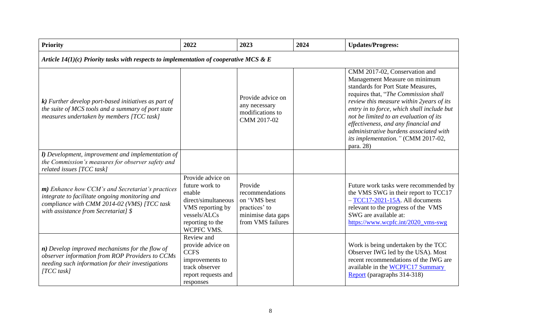| <b>Priority</b>                                                                                                                                                                                 | 2022                                                                                                                                       | 2023                                                                                                   | 2024 | <b>Updates/Progress:</b>                                                                                                                                                                                                                                                                                                                                                                                              |  |  |  |
|-------------------------------------------------------------------------------------------------------------------------------------------------------------------------------------------------|--------------------------------------------------------------------------------------------------------------------------------------------|--------------------------------------------------------------------------------------------------------|------|-----------------------------------------------------------------------------------------------------------------------------------------------------------------------------------------------------------------------------------------------------------------------------------------------------------------------------------------------------------------------------------------------------------------------|--|--|--|
| Article $14(1)(c)$ Priority tasks with respects to implementation of cooperative MCS & E                                                                                                        |                                                                                                                                            |                                                                                                        |      |                                                                                                                                                                                                                                                                                                                                                                                                                       |  |  |  |
| $\boldsymbol{k}$ ) Further develop port-based initiatives as part of<br>the suite of MCS tools and a summary of port state<br>measures undertaken by members [TCC task]                         |                                                                                                                                            | Provide advice on<br>any necessary<br>modifications to<br>CMM 2017-02                                  |      | CMM 2017-02, Conservation and<br>Management Measure on minimum<br>standards for Port State Measures,<br>requires that, "The Commission shall<br>review this measure within 2years of its<br>entry in to force, which shall include but<br>not be limited to an evaluation of its<br>effectiveness, and any financial and<br>administrative burdens associated with<br>its implementation." (CMM 2017-02,<br>para. 28) |  |  |  |
| <b>l</b> ) Development, improvement and implementation of<br>the Commission's measures for observer safety and<br>related issues [TCC task]                                                     |                                                                                                                                            |                                                                                                        |      |                                                                                                                                                                                                                                                                                                                                                                                                                       |  |  |  |
| $m$ ) Enhance how CCM's and Secretariat's practices<br>integrate to facilitate ongoing monitoring and<br>compliance with CMM 2014-02 (VMS) [TCC task<br>with assistance from Secretariat] \$    | Provide advice on<br>future work to<br>enable<br>direct/simultaneous<br>VMS reporting by<br>vessels/ALCs<br>reporting to the<br>WCPFC VMS. | Provide<br>recommendations<br>on 'VMS best<br>practices' to<br>minimise data gaps<br>from VMS failures |      | Future work tasks were recommended by<br>the VMS SWG in their report to TCC17<br>$-TCC17-2021-15A$ . All documents<br>relevant to the progress of the VMS<br>SWG are available at:<br>https://www.wcpfc.int/2020_vms-swg                                                                                                                                                                                              |  |  |  |
| $\boldsymbol{n}$ ) Develop improved mechanisms for the flow of<br>observer information from ROP Providers to CCMs<br>needing such information for their investigations<br>$\textit{ITCC}$ task] | Review and<br>provide advice on<br><b>CCFS</b><br>improvements to<br>track observer<br>report requests and<br>responses                    |                                                                                                        |      | Work is being undertaken by the TCC<br>Observer IWG led by the USA). Most<br>recent recommendations of the IWG are<br>available in the WCPFC17 Summary<br>Report (paragraphs 314-318)                                                                                                                                                                                                                                 |  |  |  |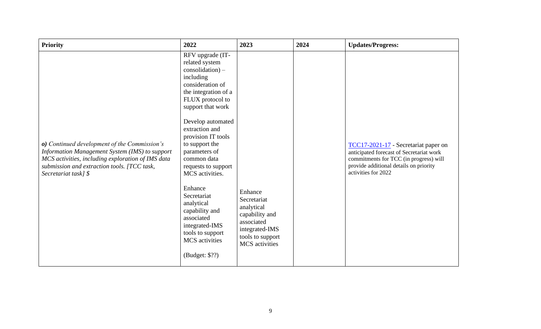| <b>Priority</b>                                                                                                                                                                                                            | 2022                                                                                                                                                                                                                                                                                                                                                                                                                                                                             | 2023                                                                                                                         | 2024 | <b>Updates/Progress:</b>                                                                                                                                                                    |
|----------------------------------------------------------------------------------------------------------------------------------------------------------------------------------------------------------------------------|----------------------------------------------------------------------------------------------------------------------------------------------------------------------------------------------------------------------------------------------------------------------------------------------------------------------------------------------------------------------------------------------------------------------------------------------------------------------------------|------------------------------------------------------------------------------------------------------------------------------|------|---------------------------------------------------------------------------------------------------------------------------------------------------------------------------------------------|
| o) Continued development of the Commission's<br>Information Management System (IMS) to support<br>MCS activities, including exploration of IMS data<br>submission and extraction tools. [TCC task,<br>Secretariat task] \$ | RFV upgrade (IT-<br>related system<br>$\cos$ olidation $)$ –<br>including<br>consideration of<br>the integration of a<br>FLUX protocol to<br>support that work<br>Develop automated<br>extraction and<br>provision IT tools<br>to support the<br>parameters of<br>common data<br>requests to support<br>MCS activities.<br>Enhance<br>Secretariat<br>analytical<br>capability and<br>associated<br>integrated-IMS<br>tools to support<br><b>MCS</b> activities<br>(Budget: \$??) | Enhance<br>Secretariat<br>analytical<br>capability and<br>associated<br>integrated-IMS<br>tools to support<br>MCS activities |      | TCC17-2021-17 - Secretariat paper on<br>anticipated forecast of Secretariat work<br>commitments for TCC (in progress) will<br>provide additional details on priority<br>activities for 2022 |
|                                                                                                                                                                                                                            |                                                                                                                                                                                                                                                                                                                                                                                                                                                                                  |                                                                                                                              |      |                                                                                                                                                                                             |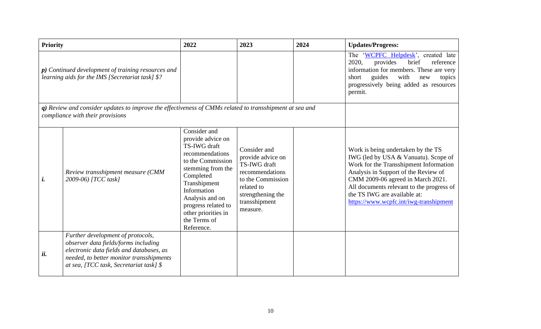| <b>Priority</b>                                                                                                                             |                                                                                                                                                                                                               | 2022                                                                                                                                                                                                                                                      | 2023                                                                                                                                                      | 2024 | <b>Updates/Progress:</b>                                                                                                                                                                                                                                                                                                 |
|---------------------------------------------------------------------------------------------------------------------------------------------|---------------------------------------------------------------------------------------------------------------------------------------------------------------------------------------------------------------|-----------------------------------------------------------------------------------------------------------------------------------------------------------------------------------------------------------------------------------------------------------|-----------------------------------------------------------------------------------------------------------------------------------------------------------|------|--------------------------------------------------------------------------------------------------------------------------------------------------------------------------------------------------------------------------------------------------------------------------------------------------------------------------|
| $p)$ Continued development of training resources and<br>learning aids for the IMS [Secretariat task] \$?                                    |                                                                                                                                                                                                               |                                                                                                                                                                                                                                                           |                                                                                                                                                           |      | The 'WCPFC Helpdesk', created late<br>2020,<br>brief<br>provides<br>reference<br>information for members. These are very<br>guides<br>with<br>short<br>new<br>topics<br>progressively being added as resources<br>permit.                                                                                                |
| q) Review and consider updates to improve the effectiveness of CMMs related to transshipment at sea and<br>compliance with their provisions |                                                                                                                                                                                                               |                                                                                                                                                                                                                                                           |                                                                                                                                                           |      |                                                                                                                                                                                                                                                                                                                          |
| i.                                                                                                                                          | Review transshipment measure (CMM<br>2009-06) [TCC task]                                                                                                                                                      | Consider and<br>provide advice on<br>TS-IWG draft<br>recommendations<br>to the Commission<br>stemming from the<br>Completed<br>Transhipment<br>Information<br>Analysis and on<br>progress related to<br>other priorities in<br>the Terms of<br>Reference. | Consider and<br>provide advice on<br>TS-IWG draft<br>recommendations<br>to the Commission<br>related to<br>strengthening the<br>transshipment<br>measure. |      | Work is being undertaken by the TS<br>IWG (led by USA & Vanuatu). Scope of<br>Work for the Transshipment Information<br>Analysis in Support of the Review of<br>CMM 2009-06 agreed in March 2021.<br>All documents relevant to the progress of<br>the TS IWG are available at:<br>https://www.wcpfc.int/iwg-transhipment |
| ii.                                                                                                                                         | Further development of protocols,<br>observer data fields/forms including<br>electronic data fields and databases, as<br>needed, to better monitor transshipments<br>at sea, [TCC task, Secretariat task] $\$ |                                                                                                                                                                                                                                                           |                                                                                                                                                           |      |                                                                                                                                                                                                                                                                                                                          |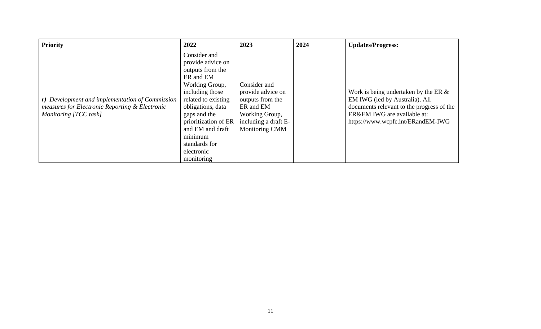| <b>Priority</b>                                                                                                            | 2022                                                                                                                                                                                                                                                                    | 2023                                                                                                                           | 2024 | <b>Updates/Progress:</b>                                                                                                                                                                   |
|----------------------------------------------------------------------------------------------------------------------------|-------------------------------------------------------------------------------------------------------------------------------------------------------------------------------------------------------------------------------------------------------------------------|--------------------------------------------------------------------------------------------------------------------------------|------|--------------------------------------------------------------------------------------------------------------------------------------------------------------------------------------------|
| r) Development and implementation of Commission<br>measures for Electronic Reporting & Electronic<br>Monitoring [TCC task] | Consider and<br>provide advice on<br>outputs from the<br>ER and EM<br>Working Group,<br>including those<br>related to existing<br>obligations, data<br>gaps and the<br>prioritization of ER<br>and EM and draft<br>minimum<br>standards for<br>electronic<br>monitoring | Consider and<br>provide advice on<br>outputs from the<br>ER and EM<br>Working Group,<br>including a draft E-<br>Monitoring CMM |      | Work is being undertaken by the ER $\&$<br>EM IWG (led by Australia). All<br>documents relevant to the progress of the<br>ER&EM IWG are available at:<br>https://www.wcpfc.int/ERandEM-IWG |